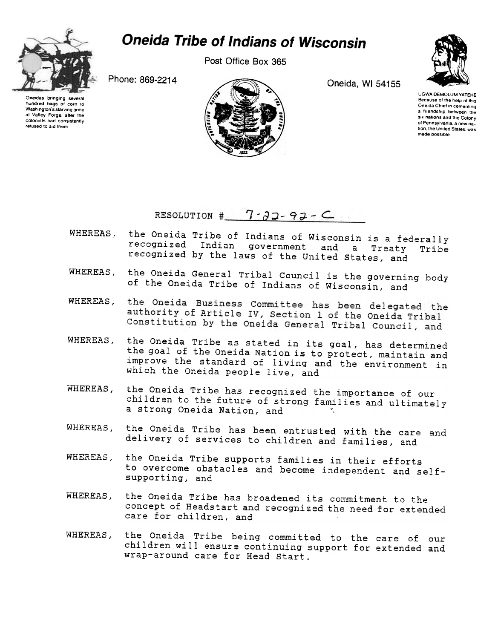

## **Oneida Tribe of Indians of Wisconsin**

Post Office Box 365



Oneidas bringing severa hundred bags of corn to Washington's starving army at Valley Forge. after the colonists had consistently refused to aid them



UGWA DEMOLUM YATEHE Because of the help of this Oneida Chief in cementing a friendship between the six nations and the Colony of Pennsylvania, a new nation, the United States, was made possible

RESOLUTION #  $7 - 33 - 93 - C$ 

- WHEREAS, the Oneida Tribe of Indians of Wisconsin is a federally recognized Indian government and a Treaty Tribe recognized by the laws of the United states, and
- WHEREAS, the Oneida General Tribal Council is the governing body of the Oneida Tribe of Indians of Wisconsin, and
- the Oneida Business Committee has been delegated the WHEREAS, authority of Article IV, Section 1 of the Oneida Tribal Constitution by the Oneida General Tribal Council, and
- WHEREAS, the Oneida Tribe as stated in its goal, has determined the goal of the Oneida Nation is to protect, maintain and improve the standard of living and the environment in which the Oneida people live, and
- WHEREAS, the Oneida Tribe has recognized the importance of our children to the future of strong families and ultimately a strong Oneida Nation, and'
- WHEREAS, the Oneida Tribe has been entrusted with the care and delivery of services to children and families, and
- the Oneida Tribe supports families in their efforts WHEREAS. to overcome obstacles and become independent and selfsupporting, and
- WHEREAS, the Oneida Tribe has broadened its commitment to the concept of Headstart and recognized the need for extended care for children, and
- WHEREAS, the Oneida Tribe being committed to the care of our children will ensure continuing support for extended and wrap-around care for Head start.